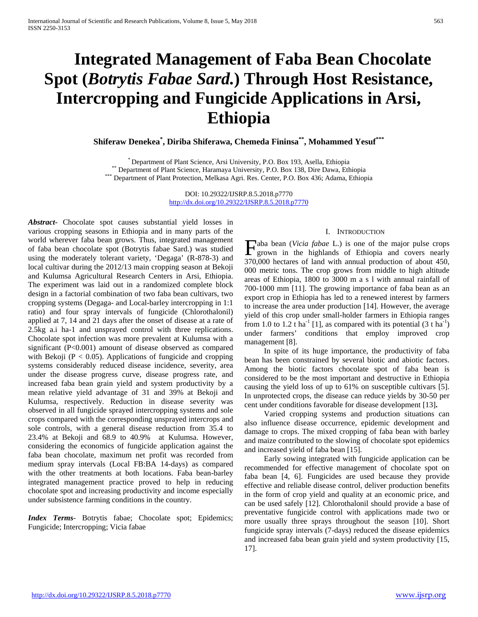# **Integrated Management of Faba Bean Chocolate Spot (***Botrytis Fabae Sard.***) Through Host Resistance, Intercropping and Fungicide Applications in Arsi, Ethiopia**

**Shiferaw Denekea\* , Diriba Shiferawa, Chemeda Fininsa\*\*, Mohammed Yesuf\*\*\***

\* Department of Plant Science, Arsi University, P.O. Box 193, Asella, Ethiopia<br>\*\*\* Department of Plant Science, Haramaya University, P.O. Box 138, Dire Dawa, Ethiopia<br>\*\*\* Department of Plant Protection, Melkasa Agri. Res.

DOI: 10.29322/IJSRP.8.5.2018.p7770 <http://dx.doi.org/10.29322/IJSRP.8.5.2018.p7770>

*Abstract***-** Chocolate spot causes substantial yield losses in various cropping seasons in Ethiopia and in many parts of the world wherever faba bean grows. Thus, integrated management of faba bean chocolate spot (Botrytis fabae Sard.) was studied using the moderately tolerant variety, 'Degaga' (R-878-3) and local cultivar during the 2012/13 main cropping season at Bekoji and Kulumsa Agricultural Research Centers in Arsi, Ethiopia. The experiment was laid out in a randomized complete block design in a factorial combination of two faba bean cultivars, two cropping systems (Degaga- and Local-barley intercropping in 1:1 ratio) and four spray intervals of fungicide (Chlorothalonil) applied at 7, 14 and 21 days after the onset of disease at a rate of 2.5kg a.i ha-1 and unsprayed control with three replications. Chocolate spot infection was more prevalent at Kulumsa with a significant (P<0.001) amount of disease observed as compared with Bekoji ( $P < 0.05$ ). Applications of fungicide and cropping systems considerably reduced disease incidence, severity, area under the disease progress curve, disease progress rate, and increased faba bean grain yield and system productivity by a mean relative yield advantage of 31 and 39% at Bekoji and Kulumsa, respectively. Reduction in disease severity was observed in all fungicide sprayed intercropping systems and sole crops compared with the corresponding unsprayed intercrops and sole controls, with a general disease reduction from 35.4 to 23.4% at Bekoji and 68.9 to 40.9% at Kulumsa. However, considering the economics of fungicide application against the faba bean chocolate, maximum net profit was recorded from medium spray intervals (Local FB:BA 14-days) as compared with the other treatments at both locations. Faba bean-barley integrated management practice proved to help in reducing chocolate spot and increasing productivity and income especially under subsistence farming conditions in the country.

*Index Terms*- Botrytis fabae; Chocolate spot; Epidemics; Fungicide; Intercropping; Vicia fabae

# I. INTRODUCTION

aba bean (*Vicia fabae* L.) is one of the major pulse crops Faba bean (*Vicia fabae* L.) is one of the major pulse crops<br>grown in the highlands of Ethiopia and covers nearly 370,000 hectares of land with annual production of about 450, 000 metric tons. The crop grows from middle to high altitude areas of Ethiopia, 1800 to 3000 m a s l with annual rainfall of 700-1000 mm [11]. The growing importance of faba bean as an export crop in Ethiopia has led to a renewed interest by farmers to increase the area under production [14]. However, the average yield of this crop under small-holder farmers in Ethiopia ranges from 1.0 to 1.2 t ha<sup>-1</sup> [1], as compared with its potential  $(3 \text{ t ha}^{-1})$ under farmers' conditions that employ improved crop management [8].

 In spite of its huge importance, the productivity of faba bean has been constrained by several biotic and abiotic factors. Among the biotic factors chocolate spot of faba bean is considered to be the most important and destructive in Ethiopia causing the yield loss of up to 61% on susceptible cultivars [5]. In unprotected crops, the disease can reduce yields by 30-50 per cent under conditions favorable for disease development [13]**.**

 Varied cropping systems and production situations can also influence disease occurrence, epidemic development and damage to crops. The mixed cropping of faba bean with barley and maize contributed to the slowing of chocolate spot epidemics and increased yield of faba bean [15].

 Early sowing integrated with fungicide application can be recommended for effective management of chocolate spot on faba bean [4, 6]. Fungicides are used because they provide effective and reliable disease control, deliver production benefits in the form of crop yield and quality at an economic price, and can be used safely [12]. Chlorothalonil should provide a base of preventative fungicide control with applications made two or more usually three sprays throughout the season [10]. Short fungicide spray intervals (7-days) reduced the disease epidemics and increased faba bean grain yield and system productivity [15, 17].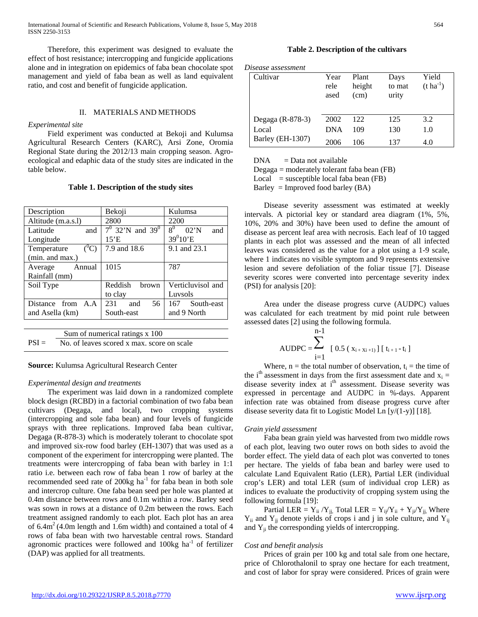International Journal of Scientific and Research Publications, Volume 8, Issue 5, May 2018 564 ISSN 2250-3153

 Therefore, this experiment was designed to evaluate the effect of host resistance; intercropping and fungicide applications alone and in integration on epidemics of faba bean chocolate spot management and yield of faba bean as well as land equivalent ratio, and cost and benefit of fungicide application.

# II. MATERIALS AND METHODS

#### *Experimental site*

 Field experiment was conducted at Bekoji and Kulumsa Agricultural Research Centers (KARC), Arsi Zone, Oromia Regional State during the 2012/13 main cropping season. Agroecological and edaphic data of the study sites are indicated in the table below.

**Table 1. Description of the study sites**

| Description                            | Bekoji                         | Kulumsa                          |  |  |
|----------------------------------------|--------------------------------|----------------------------------|--|--|
| Altitude (m.a.s.l)                     | 2800                           | 2200                             |  |  |
| Latitude<br>and                        | $7^0$ 32'N and 39 <sup>0</sup> | 8 <sup>0</sup><br>$02'$ N<br>and |  |  |
| Longitude                              | 15'E                           | $39^{0}10'E$                     |  |  |
| $\binom{0}{\mathbf{C}}$<br>Temperature | 7.9 and 18.6                   | 9.1 and 23.1                     |  |  |
| (min. and max.)                        |                                |                                  |  |  |
| Annual<br>Average                      | 1015                           | 787                              |  |  |
| Rainfall (mm)                          |                                |                                  |  |  |
| Soil Type                              | Reddish<br>brown               | Verticluvisol and                |  |  |
|                                        | to clay                        | Luvsols                          |  |  |
| Distance from A.A.                     | 231<br>56<br>and               | 167 South-east                   |  |  |
| and Asella (km)                        | South-east                     | and 9 North                      |  |  |
|                                        |                                |                                  |  |  |

| Sum of numerical ratings x 100                      |
|-----------------------------------------------------|
| $PSI = No$ . of leaves scored x max, score on scale |

#### **Source:** Kulumsa Agricultural Research Center

#### *Experimental design and treatments*

 The experiment was laid down in a randomized complete block design (RCBD) in a factorial combination of two faba bean cultivars (Degaga, and local), two cropping systems (intercropping and sole faba bean) and four levels of fungicide sprays with three replications. Improved faba bean cultivar, Degaga (R-878-3) which is moderately tolerant to chocolate spot and improved six-row food barley (EH-1307) that was used as a component of the experiment for intercropping were planted. The treatments were intercropping of faba bean with barley in 1:1 ratio i.e. between each row of faba bean 1 row of barley at the recommended seed rate of 200kg ha<sup>-1</sup> for faba bean in both sole and intercrop culture. One faba bean seed per hole was planted at 0.4m distance between rows and 0.1m within a row. Barley seed was sown in rows at a distance of 0.2m between the rows. Each treatment assigned randomly to each plot. Each plot has an area of  $6.4m<sup>2</sup>$  (4.0m length and 1.6m width) and contained a total of 4 rows of faba bean with two harvestable central rows. Standard agronomic practices were followed and  $100kg$  ha<sup>-1</sup> of fertilizer (DAP) was applied for all treatments.

### **Table 2. Description of the cultivars**

*Disease* a*ssessment* 

| Cultivar         | Year<br>rele<br>ased | Plant<br>height<br>(cm) | Days<br>to mat<br>urity | Yield<br>$(t \, ha^{-1})$ |
|------------------|----------------------|-------------------------|-------------------------|---------------------------|
| Degaga (R-878-3) | 2002                 | 122                     | 125                     | 3.2                       |
| Local            | <b>DNA</b>           | 109                     | 130                     | 1.0                       |
| Barley (EH-1307) | 2006                 | 106                     | 137                     | 4.0                       |

 $DNA = Data not available$ 

Degaga = moderately tolerant faba bean (FB)

 $Local = susceptible local faba bean (FB)$ 

Barley = Improved food barley  $(BA)$ 

 Disease severity assessment was estimated at weekly intervals. A pictorial key or standard area diagram (1%, 5%, 10%, 20% and 30%) have been used to define the amount of disease as percent leaf area with necrosis. Each leaf of 10 tagged plants in each plot was assessed and the mean of all infected leaves was considered as the value for a plot using a 1-9 scale, where 1 indicates no visible symptom and 9 represents extensive lesion and severe defoliation of the foliar tissue [7]. Disease severity scores were converted into percentage severity index (PSI) for analysis [20]:

 Area under the disease progress curve (AUDPC) values was calculated for each treatment by mid point rule between assessed dates [2] using the following formula.

$$
AUDPC = \sum_{i=1}^{n-1} [0.5 (x_{i+Xi+1})] [t_{i+1} - t_i]
$$

Where,  $n =$  the total number of observation,  $t_i =$  the time of the i<sup>th</sup> assessment in days from the first assessment date and  $x_i =$ disease severity index at i<sup>th</sup> assessment. Disease severity was expressed in percentage and AUDPC in %-days. Apparent infection rate was obtained from disease progress curve after disease severity data fit to Logistic Model Ln [y/(1-y)] [18].

#### *Grain yield assessment*

 Faba bean grain yield was harvested from two middle rows of each plot, leaving two outer rows on both sides to avoid the border effect. The yield data of each plot was converted to tones per hectare. The yields of faba bean and barley were used to calculate Land Equivalent Ratio (LER), Partial LER (individual crop's LER) and total LER (sum of individual crop LER) as indices to evaluate the productivity of cropping system using the following formula [19]:

Partial LER =  $Y_{ii} / Y_{jj}$ , Total LER =  $Y_{ij} / Y_{ii} + Y_{ji} / Y_{jj}$ , Where  $Y_{ii}$  and  $Y_{jj}$  denote yields of crops i and j in sole culture, and  $Y_{ij}$ and  $Y_{ii}$  the corresponding yields of intercropping.

### *Cost and benefit analysis*

 Prices of grain per 100 kg and total sale from one hectare, price of Chlorothalonil to spray one hectare for each treatment, and cost of labor for spray were considered. Prices of grain were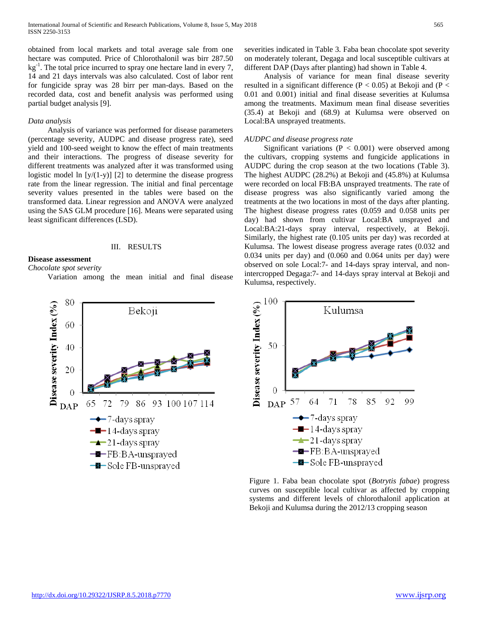obtained from local markets and total average sale from one hectare was computed. Price of Chlorothalonil was birr 287.50  $kg<sup>-1</sup>$ . The total price incurred to spray one hectare land in every 7, 14 and 21 days intervals was also calculated. Cost of labor rent for fungicide spray was 28 birr per man-days. Based on the recorded data, cost and benefit analysis was performed using partial budget analysis [9].

### *Data analysis*

 Analysis of variance was performed for disease parameters (percentage severity, AUDPC and disease progress rate), seed yield and 100-seed weight to know the effect of main treatments and their interactions. The progress of disease severity for different treatments was analyzed after it was transformed using logistic model ln [y/(1-y)] [2] to determine the disease progress rate from the linear regression. The initial and final percentage severity values presented in the tables were based on the transformed data. Linear regression and ANOVA were analyzed using the SAS GLM procedure [16]. Means were separated using least significant differences (LSD).

#### III. RESULTS

# **Disease assessment**

*Chocolate spot severity*

Variation among the mean initial and final disease



 Analysis of variance for mean final disease severity resulted in a significant difference ( $P < 0.05$ ) at Bekoji and ( $P <$ 0.01 and 0.001) initial and final disease severities at Kulumsa among the treatments. Maximum mean final disease severities (35.4) at Bekoji and (68.9) at Kulumsa were observed on Local:BA unsprayed treatments.

#### *AUDPC and disease progress rate*

Significant variations ( $P < 0.001$ ) were observed among the cultivars, cropping systems and fungicide applications in AUDPC during the crop season at the two locations (Table 3). The highest AUDPC (28.2%) at Bekoji and (45.8%) at Kulumsa were recorded on local FB:BA unsprayed treatments. The rate of disease progress was also significantly varied among the treatments at the two locations in most of the days after planting. The highest disease progress rates (0.059 and 0.058 units per day) had shown from cultivar Local:BA unsprayed and Local:BA:21-days spray interval, respectively, at Bekoji. Similarly, the highest rate (0.105 units per day) was recorded at Kulumsa. The lowest disease progress average rates (0.032 and 0.034 units per day) and (0.060 and 0.064 units per day) were observed on sole Local:7- and 14-days spray interval, and nonintercropped Degaga:7- and 14-days spray interval at Bekoji and Kulumsa, respectively.



Figure 1. Faba bean chocolate spot (*Botrytis fabae*) progress curves on susceptible local cultivar as affected by cropping systems and different levels of chlorothalonil application at Bekoji and Kulumsa during the 2012/13 cropping season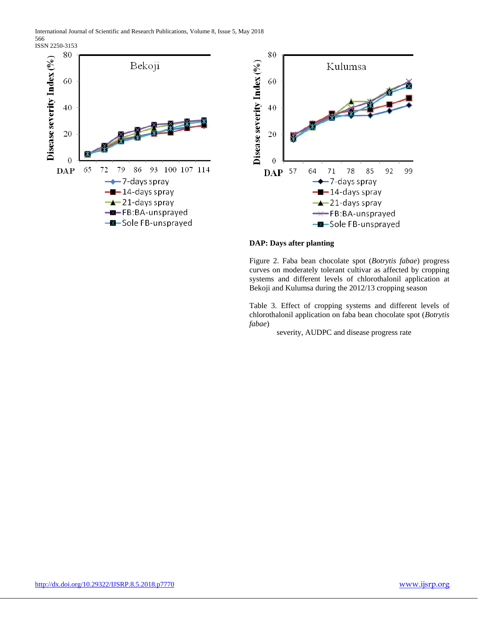International Journal of Scientific and Research Publications, Volume 8, Issue 5, May 2018 566

ISSN 2250-3153





# **DAP: Days after planting**

Figure 2. Faba bean chocolate spot (*Botrytis fabae*) progress curves on moderately tolerant cultivar as affected by cropping systems and different levels of chlorothalonil application at Bekoji and Kulumsa during the 2012/13 cropping season

Table 3. Effect of cropping systems and different levels of chlorothalonil application on faba bean chocolate spot (*Botrytis fabae*)

severity, AUDPC and disease progress rate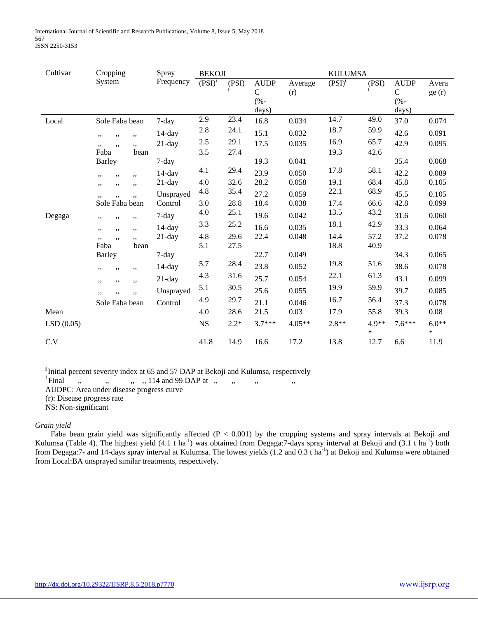| Cultivar  | Cropping       | Spray     | <b>BEKOJI</b> |        |                          |          | <b>KULUMSA</b>     |                 |                      |                   |
|-----------|----------------|-----------|---------------|--------|--------------------------|----------|--------------------|-----------------|----------------------|-------------------|
|           | System         | Frequency | $(PSI)^{i}$   | (PSI)  | <b>AUDP</b>              | Average  | (PSI) <sup>i</sup> | (PSI)           | <b>AUDP</b>          | Avera             |
|           |                |           |               |        | $\mathsf{C}$<br>$(% - )$ | (r)      |                    |                 | ${\bf C}$<br>$(% -)$ | ge(r)             |
|           |                |           |               |        | days)                    |          |                    |                 | days)                |                   |
| Local     | Sole Faba bean | 7-day     | 2.9           | 23.4   | 16.8                     | 0.034    | 14.7               | 49.0            | 37.0                 | 0.074             |
|           | ,,<br>,,<br>,, | $14$ -day | $2.8\,$       | 24.1   | 15.1                     | 0.032    | 18.7               | 59.9            | 42.6                 | 0.091             |
|           | ,,<br>,,<br>,, | $21$ -day | 2.5           | 29.1   | 17.5                     | 0.035    | 16.9               | 65.7            | 42.9                 | 0.095             |
|           | Faba<br>bean   |           | 3.5           | 27.4   |                          |          | 19.3               | 42.6            |                      |                   |
|           | <b>Barley</b>  | $7 - day$ |               |        | 19.3                     | 0.041    |                    |                 | 35.4                 | 0.068             |
|           | ,,<br>,,<br>,, | $14$ -day | 4.1           | 29.4   | 23.9                     | 0.050    | 17.8               | 58.1            | 42.2                 | 0.089             |
|           | ,,<br>,,<br>,, | $21$ -day | 4.0           | 32.6   | 28.2                     | 0.058    | 19.1               | 68.4            | 45.8                 | 0.105             |
|           | ,,<br>,,<br>,, | Unsprayed | 4.8           | 35.4   | 27.2                     | 0.059    | 22.1               | 68.9            | 45.5                 | 0.105             |
|           | Sole Faba bean | Control   | 3.0           | 28.8   | 18.4                     | 0.038    | 17.4               | 66.6            | 42.8                 | 0.099             |
| Degaga    | ,,<br>,,<br>,, | 7-day     | 4.0           | 25.1   | 19.6                     | 0.042    | 13.5               | 43.2            | 31.6                 | 0.060             |
|           | ,,<br>,,<br>,, | $14$ -day | 3.3           | 25.2   | 16.6                     | 0.035    | 18.1               | 42.9            | 33.3                 | 0.064             |
|           | ,,<br>,,<br>,, | $21$ -day | 4.8           | 29.6   | 22.4                     | 0.048    | 14.4               | 57.2            | 37.2                 | 0.078             |
|           | Faba<br>bean   |           | 5.1           | 27.5   |                          |          | 18.8               | 40.9            |                      |                   |
|           | <b>Barley</b>  | $7$ -day  |               |        | 22.7                     | 0.049    |                    |                 | 34.3                 | 0.065             |
|           | ,,<br>,,<br>,, | $14$ -day | 5.7           | 28.4   | 23.8                     | 0.052    | 19.8               | 51.6            | 38.6                 | 0.078             |
|           | ,,<br>,,<br>,, | $21$ -day | 4.3           | 31.6   | 25.7                     | 0.054    | 22.1               | 61.3            | 43.1                 | 0.099             |
|           | ,,<br>,,       | Unsprayed | 5.1           | 30.5   | 25.6                     | 0.055    | 19.9               | 59.9            | 39.7                 | 0.085             |
|           | Sole Faba bean | Control   | 4.9           | 29.7   | 21.1                     | 0.046    | 16.7               | 56.4            | 37.3                 | 0.078             |
| Mean      |                |           | 4.0           | 28.6   | 21.5                     | 0.03     | 17.9               | 55.8            | 39.3                 | 0.08              |
| LSD(0.05) |                |           | <b>NS</b>     | $2.2*$ | $3.7***$                 | $4.05**$ | $2.8**$            | 4.9**<br>$\ast$ | $7.6***$             | $6.0**$<br>$\ast$ |
| C.V       |                |           | 41.8          | 14.9   | 16.6                     | 17.2     | 13.8               | 12.7            | 6.6                  | 11.9              |

<sup>i</sup> Initial percent severity index at 65 and 57 DAP at Bekoji and Kulumsa, respectively

**<sup>f</sup>**Final ,, ,, ,, ,, 114 and 99 DAP at ,, ,, ,, ,,

AUDPC: Area under disease progress curve

(r): Disease progress rate

NS: Non-significant

# *Grain yield*

Faba bean grain yield was significantly affected (P < 0.001) by the cropping systems and spray intervals at Bekoji and Kulumsa (Table 4). The highest yield  $(4.1 \text{ t} \text{ ha}^{-1})$  was obtained from Degaga: 7-days spray interval at Bekoji and  $(3.1 \text{ t} \text{ ha}^{-1})$  both from Degaga:7- and 14-days spray interval at Kulumsa. The lowest yields (1.2 and 0.3 t ha<sup>-1</sup>) at Bekoji and Kulumsa were obtained from Local:BA unsprayed similar treatments, respectively.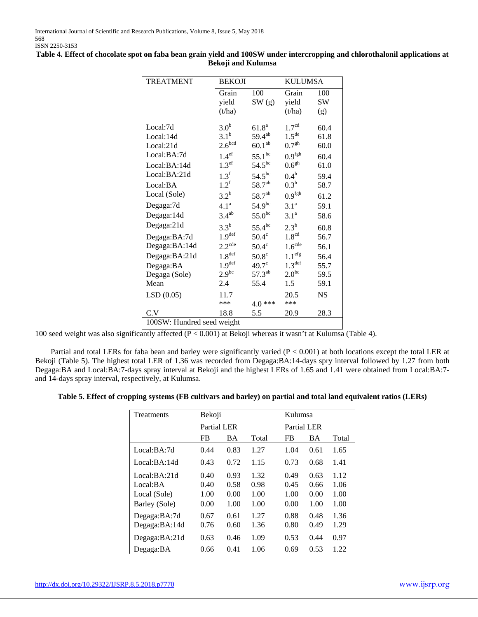| <b>TREATMENT</b> | <b>BEKOJI</b>      |                    | <b>KULUMSA</b>     |           |  |
|------------------|--------------------|--------------------|--------------------|-----------|--|
|                  | Grain              | 100                | Grain              | 100       |  |
|                  | yield              | SW(g)              | yield              | <b>SW</b> |  |
|                  | (t/ha)             |                    | (t/ha)             | (g)       |  |
| Local:7d         | 3.0 <sup>b</sup>   | 61.8 <sup>a</sup>  | 1.7 <sup>cd</sup>  | 60.4      |  |
| Local:14d        | 3.1 <sup>b</sup>   | $59.4^{ab}$        | $1.5^{\text{de}}$  | 61.8      |  |
| Local:21d        | 2.6 <sup>bcd</sup> | 60.1 <sup>ab</sup> | 0.7 <sup>gh</sup>  | 60.0      |  |
| Local:BA:7d      | 1.4 <sup>ef</sup>  | $55.1^{\rm bc}$    | 0.9 <sup>fgh</sup> | 60.4      |  |
| Local:BA:14d     | 1.3 <sup>ef</sup>  | $54.5^{bc}$        | 0.6 <sup>gh</sup>  | 61.0      |  |
| Local:BA:21d     | 1.3 <sup>f</sup>   | $54.5^{bc}$        | $0.4^{\rm h}$      | 59.4      |  |
| Local:BA         | 1.2 <sup>f</sup>   | $58.7^{ab}$        | 0.3 <sup>h</sup>   | 58.7      |  |
| Local (Sole)     | $3.2^b$            | $58.7^{ab}$        | 0.9 <sup>fgh</sup> | 61.2      |  |
| Degaga:7d        | 4.1 <sup>a</sup>   | 54.9 <sup>bc</sup> | 3.1 <sup>a</sup>   | 59.1      |  |
| Degaga:14d       | $3.4^{ab}$         | $55.0^{\rm bc}$    | 3.1 <sup>a</sup>   | 58.6      |  |
| Degaga:21d       | 3.3 <sup>b</sup>   | $55.4^{bc}$        | $2.3^{\mathrm{b}}$ | 60.8      |  |
| Degaga:BA:7d     | 1.9 <sup>def</sup> | $50.4^\circ$       | 1.8 <sup>cd</sup>  | 56.7      |  |
| Degaga:BA:14d    | $2.2^{\text{cde}}$ | $50.4^\circ$       | 1.6 <sup>cde</sup> | 56.1      |  |
| Degaga:BA:21d    | $1.8^{\rm def}$    | $50.8^\circ$       | 1.1 <sup>efg</sup> | 56.4      |  |
| Degaga:BA        | 1.9 <sup>def</sup> | $49.7^{\circ}$     | 1.3 <sup>def</sup> | 55.7      |  |
| Degaga (Sole)    | $2.9^{bc}$         | $57.3^{\text{ab}}$ | $2.0^{bc}$         | 59.5      |  |

**Table 4. Effect of chocolate spot on faba bean grain yield and 100SW under intercropping and chlorothalonil applications at Bekoji and Kulumsa**

100 seed weight was also significantly affected (P < 0.001) at Bekoji whereas it wasn't at Kulumsa (Table 4).

LSD (0.05)  $11.7$ <br>\*\*\*

100SW: Hundred seed weight

Partial and total LERs for faba bean and barley were significantly varied  $(P < 0.001)$  at both locations except the total LER at Bekoji (Table 5). The highest total LER of 1.36 was recorded from Degaga:BA:14-days spry interval followed by 1.27 from both Degaga:BA and Local:BA:7-days spray interval at Bekoji and the highest LERs of 1.65 and 1.41 were obtained from Local:BA:7 and 14-days spray interval, respectively, at Kulumsa.

Mean 2.4 55.4 1.5 59.1

C.V 18.8 5.5 20.9 28.3

\*\*\* 4.0 \*\*\*

20.5 \*\*\*

NS

#### **Table 5. Effect of cropping systems (FB cultivars and barley) on partial and total land equivalent ratios (LERs)**

| Treatments    | Bekoji             |      |       |           | Kulumsa     |       |  |  |  |
|---------------|--------------------|------|-------|-----------|-------------|-------|--|--|--|
|               | <b>Partial LER</b> |      |       |           | Partial LER |       |  |  |  |
|               | FB                 | ВA   | Total | <b>FB</b> | <b>BA</b>   | Total |  |  |  |
| Local:BA:7d   | 0.44               | 0.83 | 1.27  | 1.04      | 0.61        | 1.65  |  |  |  |
| Local:BA:14d  | 0.43               | 0.72 | 1.15  | 0.73      | 0.68        | 1.41  |  |  |  |
| Local:BA:21d  | 0.40               | 0.93 | 1.32  | 0.49      | 0.63        | 1.12  |  |  |  |
| Local:BA      | 0.40               | 0.58 | 0.98  | 0.45      | 0.66        | 1.06  |  |  |  |
| Local (Sole)  | 1.00               | 0.00 | 1.00  | 1.00      | 0.00        | 1.00  |  |  |  |
| Barley (Sole) | 0.00               | 1.00 | 1.00  | 0.00      | 1.00        | 1.00  |  |  |  |
| Degaga:BA:7d  | 0.67               | 0.61 | 1.27  | 0.88      | 0.48        | 1.36  |  |  |  |
| Degaga:BA:14d | 0.76               | 0.60 | 1.36  | 0.80      | 0.49        | 1.29  |  |  |  |
| Degaga:BA:21d | 0.63               | 0.46 | 1.09  | 0.53      | 0.44        | 0.97  |  |  |  |
| Degaga:BA     | 0.66               | 0.41 | 1.06  | 0.69      | 0.53        | 1.22  |  |  |  |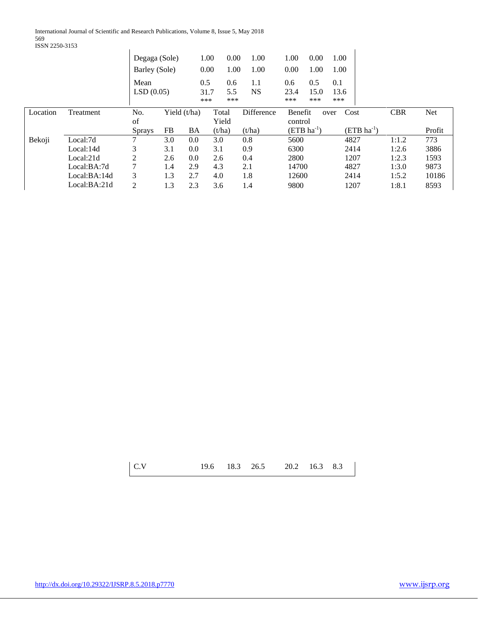International Journal of Scientific and Research Publications, Volume 8, Issue 5, May 2018 569

ISSN 2250-3153

| <b>PODIA 2200-0100</b> |              |               |           |                |        |            |         |              |                 |            |        |
|------------------------|--------------|---------------|-----------|----------------|--------|------------|---------|--------------|-----------------|------------|--------|
|                        |              | Degaga (Sole) |           | 1.00           | 0.00   | 1.00       | 1.00    | 0.00         | 1.00            |            |        |
|                        |              | Barley (Sole) |           | 0.00           | 1.00   | 1.00       | 0.00    | 1.00         | 1.00            |            |        |
|                        |              | Mean          |           | 0.5            | 0.6    | 1.1        | 0.6     | 0.5          | 0.1             |            |        |
|                        |              | LSD(0.05)     |           | 31.7           | 5.5    | <b>NS</b>  | 23.4    | 15.0         | 13.6            |            |        |
|                        |              |               |           | ***            | ***    |            | ***     | ***          | ***             |            |        |
| Location               | Treatment    | No.           |           | Yield $(t/ha)$ | Total  | Difference | Benefit |              | Cost<br>over    | <b>CBR</b> | Net    |
|                        |              | of            |           |                | Yield  |            | control |              |                 |            |        |
|                        |              | <b>Sprays</b> | <b>FB</b> | BA             | (t/ha) | (t/ha)     |         | $(ETB ha-1)$ | $(ETB ha^{-1})$ |            | Profit |
| Bekoji                 | Local:7d     | 7             | 3.0       | 0.0            | 3.0    | 0.8        | 5600    |              | 4827            | 1:1.2      | 773    |
|                        | Local:14d    | 3             | 3.1       | 0.0            | 3.1    | 0.9        | 6300    |              | 2414            | 1:2.6      | 3886   |
|                        | Local:21d    | 2             | 2.6       | 0.0            | 2.6    | 0.4        | 2800    |              | 1207            | 1:2.3      | 1593   |
|                        | Local:BA:7d  | 7             | 1.4       | 2.9            | 4.3    | 2.1        | 14700   |              | 4827            | 1:3.0      | 9873   |
|                        | Local:BA:14d | 3             | 1.3       | 2.7            | 4.0    | 1.8        | 12600   |              | 2414            | 1:5.2      | 10186  |
|                        | Local:BA:21d | 2             | 1.3       | 2.3            | 3.6    | 1.4        | 9800    |              | 1207            | 1:8.1      | 8593   |

| 19.6 18.3 26.5 20.2 16.3 8.3 | C.V |  |  |  |  |  |  |  |
|------------------------------|-----|--|--|--|--|--|--|--|
|------------------------------|-----|--|--|--|--|--|--|--|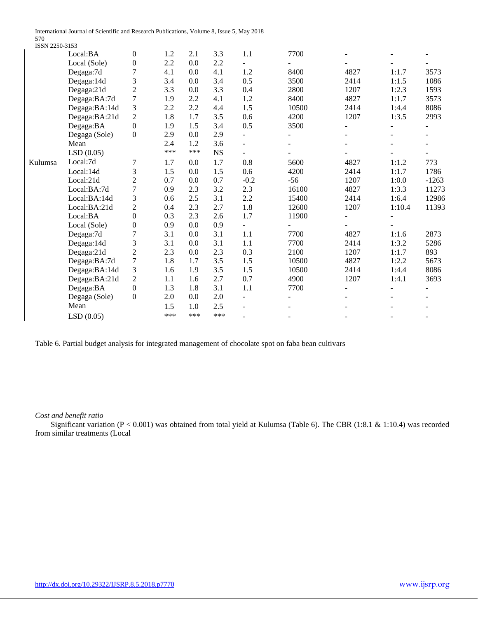International Journal of Scientific and Research Publications, Volume 8, Issue 5, May 2018

570 ISSN 2250-3153

|         | Local:BA      | $\boldsymbol{0}$ | 1.2 | 2.1     | 3.3       | 1.1                      | 7700  |      |        |         |
|---------|---------------|------------------|-----|---------|-----------|--------------------------|-------|------|--------|---------|
|         | Local (Sole)  | $\boldsymbol{0}$ | 2.2 | 0.0     | 2.2       |                          |       |      |        |         |
|         | Degaga:7d     | 7                | 4.1 | 0.0     | 4.1       | 1.2                      | 8400  | 4827 | 1:1.7  | 3573    |
|         | Degaga:14d    | 3                | 3.4 | 0.0     | 3.4       | 0.5                      | 3500  | 2414 | 1:1.5  | 1086    |
|         | Degaga:21d    | $\overline{c}$   | 3.3 | 0.0     | 3.3       | 0.4                      | 2800  | 1207 | 1:2.3  | 1593    |
|         | Degaga:BA:7d  | 7                | 1.9 | 2.2     | 4.1       | 1.2                      | 8400  | 4827 | 1:1.7  | 3573    |
|         | Degaga:BA:14d | 3                | 2.2 | 2.2     | 4.4       | 1.5                      | 10500 | 2414 | 1:4.4  | 8086    |
|         | Degaga:BA:21d | $\overline{c}$   | 1.8 | 1.7     | 3.5       | 0.6                      | 4200  | 1207 | 1:3.5  | 2993    |
|         | Degaga:BA     | $\Omega$         | 1.9 | 1.5     | 3.4       | 0.5                      | 3500  |      |        |         |
|         | Degaga (Sole) | $\overline{0}$   | 2.9 | 0.0     | 2.9       | $\equiv$                 |       |      |        |         |
|         | Mean          |                  | 2.4 | 1.2     | 3.6       | $\overline{\phantom{a}}$ |       |      |        |         |
|         | LSD(0.05)     |                  | *** | ***     | <b>NS</b> |                          |       |      |        |         |
| Kulumsa | Local:7d      | 7                | 1.7 | 0.0     | 1.7       | 0.8                      | 5600  | 4827 | 1:1.2  | 773     |
|         | Local:14d     | 3                | 1.5 | 0.0     | 1.5       | 0.6                      | 4200  | 2414 | 1:1.7  | 1786    |
|         | Local:21d     | $\overline{c}$   | 0.7 | 0.0     | 0.7       | $-0.2$                   | $-56$ | 1207 | 1:0.0  | $-1263$ |
|         | Local:BA:7d   | 7                | 0.9 | 2.3     | 3.2       | 2.3                      | 16100 | 4827 | 1:3.3  | 11273   |
|         | Local:BA:14d  | 3                | 0.6 | 2.5     | 3.1       | 2.2                      | 15400 | 2414 | 1:6.4  | 12986   |
|         | Local:BA:21d  | 2                | 0.4 | 2.3     | 2.7       | 1.8                      | 12600 | 1207 | 1:10.4 | 11393   |
|         | Local:BA      | $\boldsymbol{0}$ | 0.3 | 2.3     | 2.6       | 1.7                      | 11900 |      |        |         |
|         | Local (Sole)  | $\boldsymbol{0}$ | 0.9 | 0.0     | 0.9       | $\overline{\phantom{0}}$ |       |      |        |         |
|         | Degaga:7d     | 7                | 3.1 | 0.0     | 3.1       | 1.1                      | 7700  | 4827 | 1:1.6  | 2873    |
|         | Degaga:14d    | 3                | 3.1 | 0.0     | 3.1       | 1.1                      | 7700  | 2414 | 1:3.2  | 5286    |
|         | Degaga:21d    | $\overline{2}$   | 2.3 | 0.0     | 2.3       | 0.3                      | 2100  | 1207 | 1:1.7  | 893     |
|         | Degaga:BA:7d  | 7                | 1.8 | 1.7     | 3.5       | 1.5                      | 10500 | 4827 | 1:2.2  | 5673    |
|         | Degaga:BA:14d | 3                | 1.6 | 1.9     | 3.5       | 1.5                      | 10500 | 2414 | 1:4.4  | 8086    |
|         | Degaga:BA:21d | $\overline{2}$   | 1.1 | 1.6     | 2.7       | 0.7                      | 4900  | 1207 | 1:4.1  | 3693    |
|         | Degaga:BA     | $\Omega$         | 1.3 | 1.8     | 3.1       | $1.1\,$                  | 7700  |      |        |         |
|         | Degaga (Sole) | $\Omega$         | 2.0 | 0.0     | 2.0       | $\equiv$                 |       |      |        |         |
|         | Mean          |                  | 1.5 | $1.0\,$ | 2.5       | $\overline{\phantom{0}}$ |       |      |        |         |
|         | LSD(0.05)     |                  | *** | ***     | ***       |                          |       |      |        |         |
|         |               |                  |     |         |           |                          |       |      |        |         |

Table 6. Partial budget analysis for integrated management of chocolate spot on faba bean cultivars

*Cost and benefit ratio*

 Significant variation (P < 0.001) was obtained from total yield at Kulumsa (Table 6). The CBR (1:8.1 & 1:10.4) was recorded from similar treatments (Local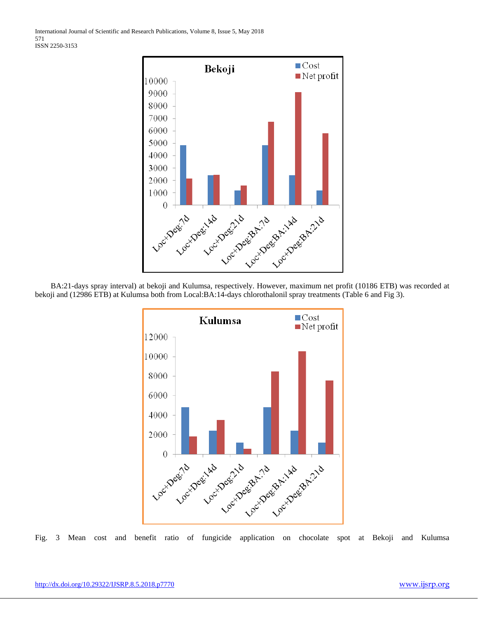

 BA:21-days spray interval) at bekoji and Kulumsa, respectively. However, maximum net profit (10186 ETB) was recorded at bekoji and (12986 ETB) at Kulumsa both from Local:BA:14-days chlorothalonil spray treatments (Table 6 and Fig 3).



Fig. 3 Mean cost and benefit ratio of fungicide application on chocolate spot at Bekoji and Kulumsa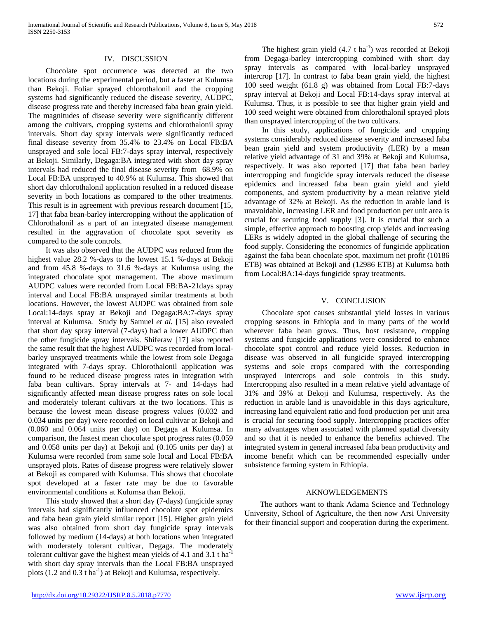#### IV. DISCUSSION

 Chocolate spot occurrence was detected at the two locations during the experimental period, but a faster at Kulumsa than Bekoji. Foliar sprayed chlorothalonil and the cropping systems had significantly reduced the disease severity, AUDPC, disease progress rate and thereby increased faba bean grain yield. The magnitudes of disease severity were significantly different among the cultivars, cropping systems and chlorothalonil spray intervals. Short day spray intervals were significantly reduced final disease severity from 35.4% to 23.4% on Local FB:BA unsprayed and sole local FB:7-days spray interval, respectively at Bekoji. Similarly, Degaga:BA integrated with short day spray intervals had reduced the final disease severity from 68.9% on Local FB:BA unsprayed to 40.9% at Kulumsa. This showed that short day chlorothalonil application resulted in a reduced disease severity in both locations as compared to the other treatments. This result is in agreement with previous research document [15, 17] that faba bean-barley intercropping without the application of Chlorothalonil as a part of an integrated disease management resulted in the aggravation of chocolate spot severity as compared to the sole controls.

 It was also observed that the AUDPC was reduced from the highest value 28.2 %-days to the lowest 15.1 %-days at Bekoji and from 45.8 %-days to 31.6 %-days at Kulumsa using the integrated chocolate spot management. The above maximum AUDPC values were recorded from Local FB:BA-21days spray interval and Local FB:BA unsprayed similar treatments at both locations. However, the lowest AUDPC was obtained from sole Local:14-days spray at Bekoji and Degaga:BA:7-days spray interval at Kulumsa. Study by Samuel *et al.* [15] also revealed that short day spray interval (7-days) had a lower AUDPC than the other fungicide spray intervals. Shiferaw [17] also reported the same result that the highest AUDPC was recorded from localbarley unsprayed treatments while the lowest from sole Degaga integrated with 7-days spray. Chlorothalonil application was found to be reduced disease progress rates in integration with faba bean cultivars. Spray intervals at 7- and 14-days had significantly affected mean disease progress rates on sole local and moderately tolerant cultivars at the two locations. This is because the lowest mean disease progress values (0.032 and 0.034 units per day) were recorded on local cultivar at Bekoji and (0.060 and 0.064 units per day) on Degaga at Kulumsa. In comparison, the fastest mean chocolate spot progress rates (0.059 and 0.058 units per day) at Bekoji and (0.105 units per day) at Kulumsa were recorded from same sole local and Local FB:BA unsprayed plots. Rates of disease progress were relatively slower at Bekoji as compared with Kulumsa. This shows that chocolate spot developed at a faster rate may be due to favorable environmental conditions at Kulumsa than Bekoji.

 This study showed that a short day (7-days) fungicide spray intervals had significantly influenced chocolate spot epidemics and faba bean grain yield similar report [15]. Higher grain yield was also obtained from short day fungicide spray intervals followed by medium (14-days) at both locations when integrated with moderately tolerant cultivar, Degaga. The moderately tolerant cultivar gave the highest mean yields of 4.1 and 3.1 t ha<sup>-1</sup> with short day spray intervals than the Local FB:BA unsprayed plots  $(1.2 \text{ and } 0.3 \text{ t} \text{ ha}^{-1})$  at Bekoji and Kulumsa, respectively.

The highest grain yield  $(4.7 \text{ t ha}^{-1})$  was recorded at Bekoji from Degaga-barley intercropping combined with short day spray intervals as compared with local-barley unsprayed intercrop [17]. In contrast to faba bean grain yield, the highest 100 seed weight (61.8 g) was obtained from Local FB:7-days spray interval at Bekoji and Local FB:14-days spray interval at Kulumsa. Thus, it is possible to see that higher grain yield and 100 seed weight were obtained from chlorothalonil sprayed plots than unsprayed intercropping of the two cultivars.

 In this study, applications of fungicide and cropping systems considerably reduced disease severity and increased faba bean grain yield and system productivity (LER) by a mean relative yield advantage of 31 and 39% at Bekoji and Kulumsa, respectively. It was also reported [17] that faba bean barley intercropping and fungicide spray intervals reduced the disease epidemics and increased faba bean grain yield and yield components, and system productivity by a mean relative yield advantage of 32% at Bekoji. As the reduction in arable land is unavoidable, increasing LER and food production per unit area is crucial for securing food supply [3]. It is crucial that such a simple, effective approach to boosting crop yields and increasing LERs is widely adopted in the global challenge of securing the food supply. Considering the economics of fungicide application against the faba bean chocolate spot, maximum net profit (10186 ETB) was obtained at Bekoji and (12986 ETB) at Kulumsa both from Local:BA:14-days fungicide spray treatments.

### V. CONCLUSION

 Chocolate spot causes substantial yield losses in various cropping seasons in Ethiopia and in many parts of the world wherever faba bean grows. Thus, host resistance, cropping systems and fungicide applications were considered to enhance chocolate spot control and reduce yield losses. Reduction in disease was observed in all fungicide sprayed intercropping systems and sole crops compared with the corresponding unsprayed intercrops and sole controls in this study. Intercropping also resulted in a mean relative yield advantage of 31% and 39% at Bekoji and Kulumsa, respectively. As the reduction in arable land is unavoidable in this days agriculture, increasing land equivalent ratio and food production per unit area is crucial for securing food supply. Intercropping practices offer many advantages when associated with planned spatial diversity and so that it is needed to enhance the benefits achieved. The integrated system in general increased faba bean productivity and income benefit which can be recommended especially under subsistence farming system in Ethiopia.

# AKNOWLEDGEMENTS

 The authors want to thank Adama Science and Technology University, School of Agriculture, the then now Arsi University for their financial support and cooperation during the experiment.